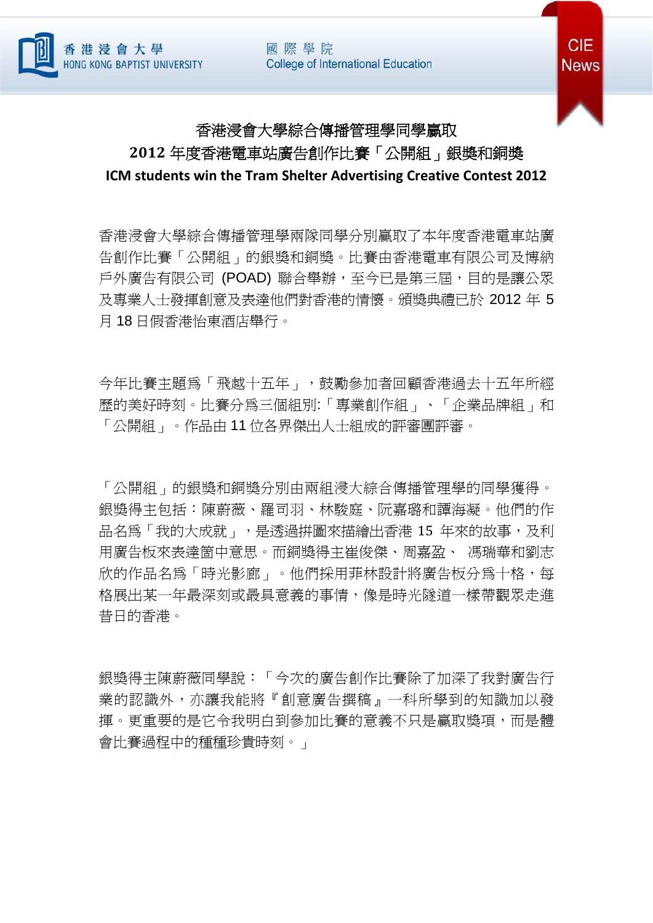國際學院 **College of International Education** 





## 香港浸會大學綜合傳播管理學同學贏取 **2012** 年度香港電車站廣告創作比賽「公開組」銀獎和銅獎

**ICM students win the Tram Shelter Advertising Creative Contest 2012**

香港浸會大學綜合傳播管理學兩隊同學分別贏取了本年度香港電車站廣 告創作比賽「公開組」的銀獎和銅獎。比賽由香港電車有限公司及博納 戶外廣告有限公司 (POAD) 聯合舉辦,至今已是第三屆,目的是讓公眾 及專業人士發揮創意及表達他們對香港的情懷。頒獎典禮已於 2012 年 5 月 18 日假香港怡東酒店舉行。

今年比賽主題為「飛越十五年」,鼓勵參加者回顧香港過去十五年所經 歷的美好時刻。比賽分為三個組別:「專業創作組」、「企業品牌組」和 「公開組」。作品由 11 位各界傑出人士組成的評審團評審。

「公開組」的銀獎和銅獎分別由兩組浸大綜合傳播管理學的同學獲得。 銀獎得主包括:陳蔚薇、羅司羽、林駿庭、阮嘉璐和譚海凝。他們的作 品名為「我的大成就」,是透過拼圖來描繪出香港 15 年來的故事,及利 用廣告板來表達箇中意思。而銅獎得主崔俊傑、周嘉盈、 馮瑞華和劉志 欣的作品名為「時光影廊」。他們採用菲林設計將廣告板分為十格,每 格展出某一年最深刻或最具意義的事情,像是時光隧道一樣帶觀眾走進 昔日的香港。

銀獎得主陳蔚薇同學說:「今次的廣告創作比賽除了加深了我對廣告行 業的認識外,亦讓我能將『創意廣告撰稿』一科所學到的知識加以發 揮。更重要的是它令我明白到參加比賽的意義不只是贏取獎項,而是體 會比賽過程中的種種珍貴時刻。」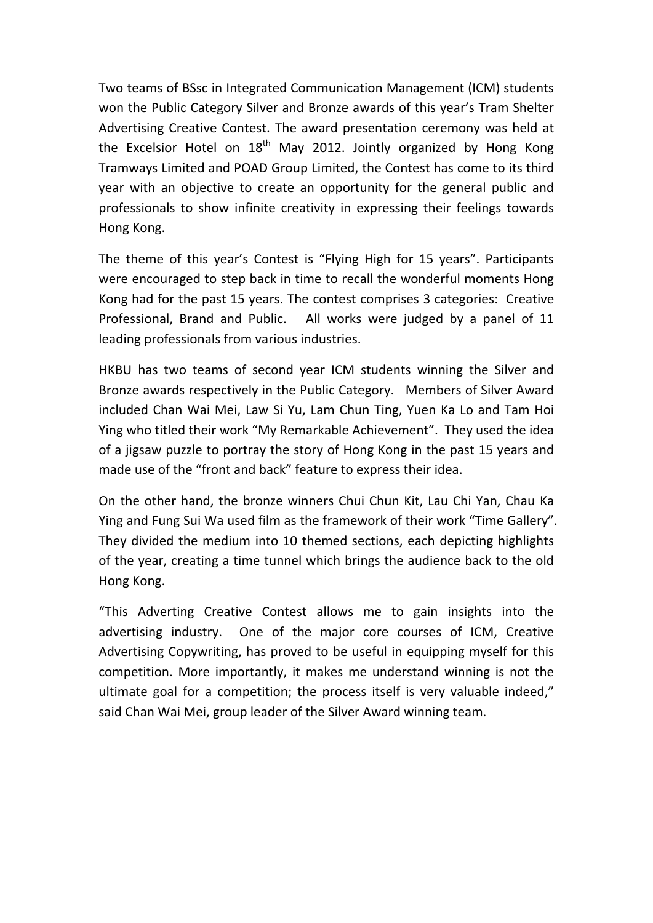Two teams of BSsc in Integrated Communication Management (ICM) students won the Public Category Silver and Bronze awards of this year's Tram Shelter Advertising Creative Contest. The award presentation ceremony was held at the Excelsior Hotel on  $18<sup>th</sup>$  May 2012. Jointly organized by Hong Kong Tramways Limited and POAD Group Limited, the Contest has come to its third year with an objective to create an opportunity for the general public and professionals to show infinite creativity in expressing their feelings towards Hong Kong.

The theme of this year's Contest is "Flying High for 15 years". Participants were encouraged to step back in time to recall the wonderful moments Hong Kong had for the past 15 years. The contest comprises 3 categories: Creative Professional, Brand and Public. All works were judged by a panel of 11 leading professionals from various industries.

HKBU has two teams of second year ICM students winning the Silver and Bronze awards respectively in the Public Category. Members of Silver Award included Chan Wai Mei, Law Si Yu, Lam Chun Ting, Yuen Ka Lo and Tam Hoi Ying who titled their work "My Remarkable Achievement". They used the idea of a jigsaw puzzle to portray the story of Hong Kong in the past 15 years and made use of the "front and back" feature to express their idea.

On the other hand, the bronze winners Chui Chun Kit, Lau Chi Yan, Chau Ka Ying and Fung Sui Wa used film as the framework of their work "Time Gallery". They divided the medium into 10 themed sections, each depicting highlights of the year, creating a time tunnel which brings the audience back to the old Hong Kong.

"This Adverting Creative Contest allows me to gain insights into the advertising industry. One of the major core courses of ICM, Creative Advertising Copywriting, has proved to be useful in equipping myself for this competition. More importantly, it makes me understand winning is not the ultimate goal for a competition; the process itself is very valuable indeed," said Chan Wai Mei, group leader of the Silver Award winning team.